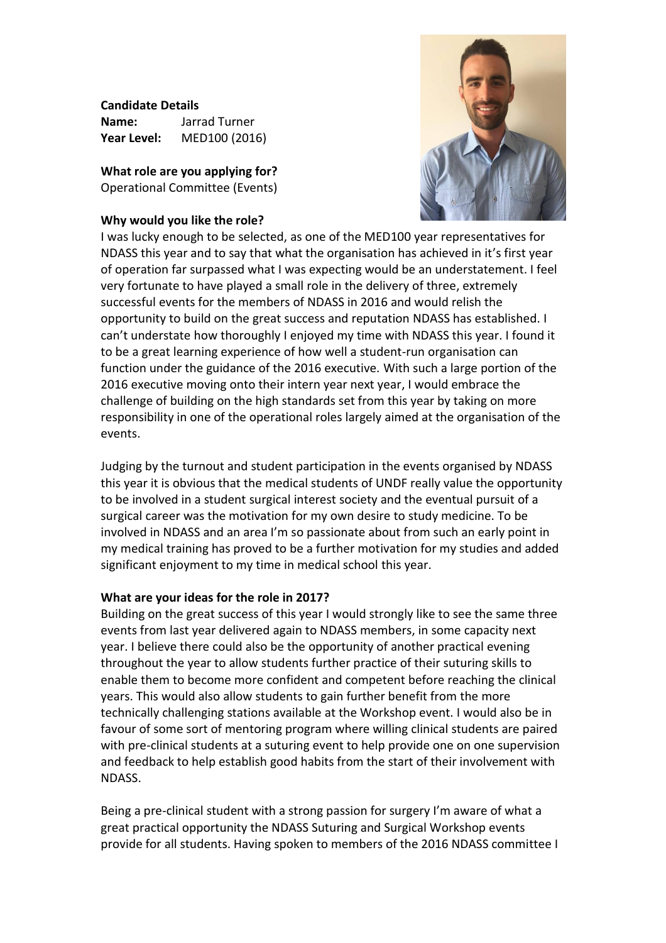**Candidate Details**

| Name:       | Jarrad Turner |
|-------------|---------------|
| Year Level: | MED100 (2016) |

**What role are you applying for?** Operational Committee (Events)

## **Why would you like the role?**



I was lucky enough to be selected, as one of the MED100 year representatives for NDASS this year and to say that what the organisation has achieved in it's first year of operation far surpassed what I was expecting would be an understatement. I feel very fortunate to have played a small role in the delivery of three, extremely successful events for the members of NDASS in 2016 and would relish the opportunity to build on the great success and reputation NDASS has established. I can't understate how thoroughly I enjoyed my time with NDASS this year. I found it to be a great learning experience of how well a student-run organisation can function under the guidance of the 2016 executive. With such a large portion of the 2016 executive moving onto their intern year next year, I would embrace the challenge of building on the high standards set from this year by taking on more responsibility in one of the operational roles largely aimed at the organisation of the events.

Judging by the turnout and student participation in the events organised by NDASS this year it is obvious that the medical students of UNDF really value the opportunity to be involved in a student surgical interest society and the eventual pursuit of a surgical career was the motivation for my own desire to study medicine. To be involved in NDASS and an area I'm so passionate about from such an early point in my medical training has proved to be a further motivation for my studies and added significant enjoyment to my time in medical school this year.

## **What are your ideas for the role in 2017?**

Building on the great success of this year I would strongly like to see the same three events from last year delivered again to NDASS members, in some capacity next year. I believe there could also be the opportunity of another practical evening throughout the year to allow students further practice of their suturing skills to enable them to become more confident and competent before reaching the clinical years. This would also allow students to gain further benefit from the more technically challenging stations available at the Workshop event. I would also be in favour of some sort of mentoring program where willing clinical students are paired with pre-clinical students at a suturing event to help provide one on one supervision and feedback to help establish good habits from the start of their involvement with NDASS.

Being a pre-clinical student with a strong passion for surgery I'm aware of what a great practical opportunity the NDASS Suturing and Surgical Workshop events provide for all students. Having spoken to members of the 2016 NDASS committee I